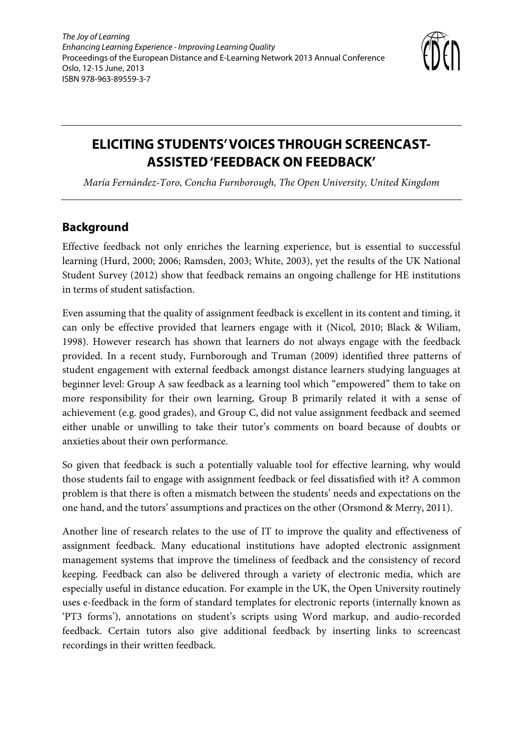

# **ELICITING STUDENTS' VOICES THROUGH SCREENCAST-ASSISTED 'FEEDBACK ON FEEDBACK'**

*María Fernández-Toro, Concha Furnborough, The Open University, United Kingdom* 

## **Background**

Effective feedback not only enriches the learning experience, but is essential to successful learning (Hurd, 2000; 2006; Ramsden, 2003; White, 2003), yet the results of the UK National Student Survey (2012) show that feedback remains an ongoing challenge for HE institutions in terms of student satisfaction.

Even assuming that the quality of assignment feedback is excellent in its content and timing, it can only be effective provided that learners engage with it (Nicol, 2010; Black & Wiliam, 1998). However research has shown that learners do not always engage with the feedback provided. In a recent study, Furnborough and Truman (2009) identified three patterns of student engagement with external feedback amongst distance learners studying languages at beginner level: Group A saw feedback as a learning tool which "empowered" them to take on more responsibility for their own learning, Group B primarily related it with a sense of achievement (e.g. good grades), and Group C, did not value assignment feedback and seemed either unable or unwilling to take their tutor's comments on board because of doubts or anxieties about their own performance.

So given that feedback is such a potentially valuable tool for effective learning, why would those students fail to engage with assignment feedback or feel dissatisfied with it? A common problem is that there is often a mismatch between the students' needs and expectations on the one hand, and the tutors' assumptions and practices on the other (Orsmond & Merry, 2011).

Another line of research relates to the use of IT to improve the quality and effectiveness of assignment feedback. Many educational institutions have adopted electronic assignment management systems that improve the timeliness of feedback and the consistency of record keeping. Feedback can also be delivered through a variety of electronic media, which are especially useful in distance education. For example in the UK, the Open University routinely uses e-feedback in the form of standard templates for electronic reports (internally known as 'PT3 forms'), annotations on student's scripts using Word markup, and audio-recorded feedback. Certain tutors also give additional feedback by inserting links to screencast recordings in their written feedback.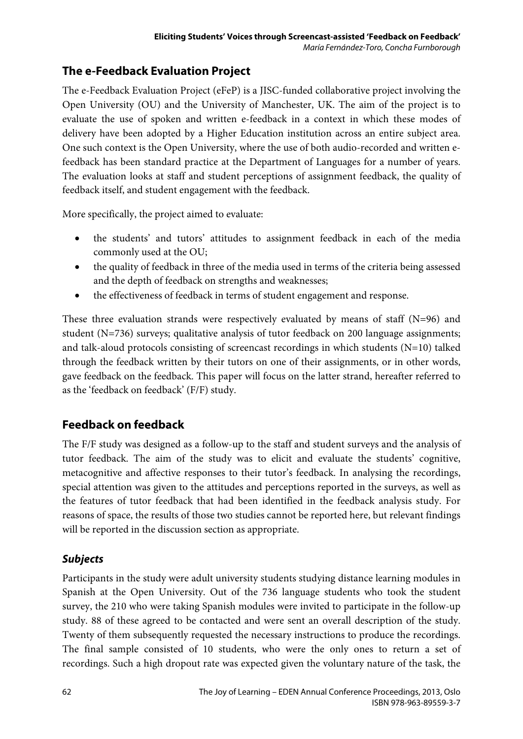## **The e-Feedback Evaluation Project**

The e-Feedback Evaluation Project (eFeP) is a JISC-funded collaborative project involving the Open University (OU) and the University of Manchester, UK. The aim of the project is to evaluate the use of spoken and written e-feedback in a context in which these modes of delivery have been adopted by a Higher Education institution across an entire subject area. One such context is the Open University, where the use of both audio-recorded and written efeedback has been standard practice at the Department of Languages for a number of years. The evaluation looks at staff and student perceptions of assignment feedback, the quality of feedback itself, and student engagement with the feedback.

More specifically, the project aimed to evaluate:

- the students' and tutors' attitudes to assignment feedback in each of the media commonly used at the OU;
- the quality of feedback in three of the media used in terms of the criteria being assessed and the depth of feedback on strengths and weaknesses;
- the effectiveness of feedback in terms of student engagement and response.

These three evaluation strands were respectively evaluated by means of staff (N=96) and student (N=736) surveys; qualitative analysis of tutor feedback on 200 language assignments; and talk-aloud protocols consisting of screencast recordings in which students (N=10) talked through the feedback written by their tutors on one of their assignments, or in other words, gave feedback on the feedback. This paper will focus on the latter strand, hereafter referred to as the 'feedback on feedback' (F/F) study.

## **Feedback on feedback**

The F/F study was designed as a follow-up to the staff and student surveys and the analysis of tutor feedback. The aim of the study was to elicit and evaluate the students' cognitive, metacognitive and affective responses to their tutor's feedback. In analysing the recordings, special attention was given to the attitudes and perceptions reported in the surveys, as well as the features of tutor feedback that had been identified in the feedback analysis study. For reasons of space, the results of those two studies cannot be reported here, but relevant findings will be reported in the discussion section as appropriate.

### **Subjects**

Participants in the study were adult university students studying distance learning modules in Spanish at the Open University. Out of the 736 language students who took the student survey, the 210 who were taking Spanish modules were invited to participate in the follow-up study. 88 of these agreed to be contacted and were sent an overall description of the study. Twenty of them subsequently requested the necessary instructions to produce the recordings. The final sample consisted of 10 students, who were the only ones to return a set of recordings. Such a high dropout rate was expected given the voluntary nature of the task, the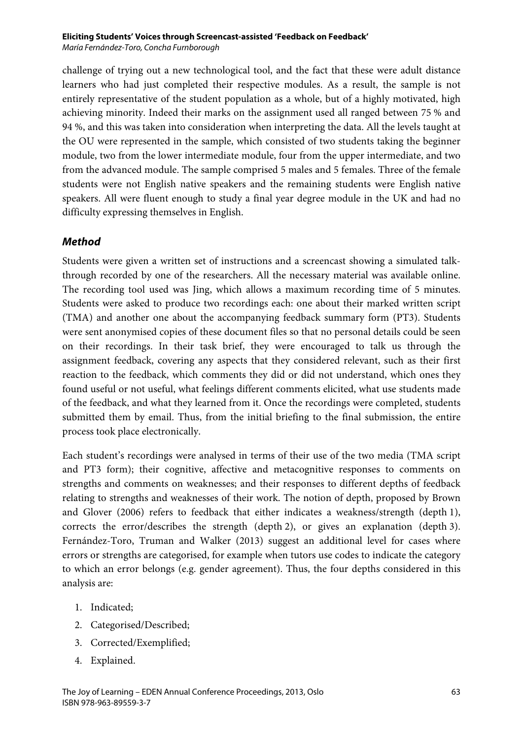#### **Eliciting Students' Voices through Screencast-assisted 'Feedback on Feedback'**

María Fernández-Toro, Concha Furnborough

challenge of trying out a new technological tool, and the fact that these were adult distance learners who had just completed their respective modules. As a result, the sample is not entirely representative of the student population as a whole, but of a highly motivated, high achieving minority. Indeed their marks on the assignment used all ranged between 75 % and 94 %, and this was taken into consideration when interpreting the data. All the levels taught at the OU were represented in the sample, which consisted of two students taking the beginner module, two from the lower intermediate module, four from the upper intermediate, and two from the advanced module. The sample comprised 5 males and 5 females. Three of the female students were not English native speakers and the remaining students were English native speakers. All were fluent enough to study a final year degree module in the UK and had no difficulty expressing themselves in English.

#### **Method**

Students were given a written set of instructions and a screencast showing a simulated talkthrough recorded by one of the researchers. All the necessary material was available online. The recording tool used was Jing, which allows a maximum recording time of 5 minutes. Students were asked to produce two recordings each: one about their marked written script (TMA) and another one about the accompanying feedback summary form (PT3). Students were sent anonymised copies of these document files so that no personal details could be seen on their recordings. In their task brief, they were encouraged to talk us through the assignment feedback, covering any aspects that they considered relevant, such as their first reaction to the feedback, which comments they did or did not understand, which ones they found useful or not useful, what feelings different comments elicited, what use students made of the feedback, and what they learned from it. Once the recordings were completed, students submitted them by email. Thus, from the initial briefing to the final submission, the entire process took place electronically.

Each student's recordings were analysed in terms of their use of the two media (TMA script and PT3 form); their cognitive, affective and metacognitive responses to comments on strengths and comments on weaknesses; and their responses to different depths of feedback relating to strengths and weaknesses of their work. The notion of depth, proposed by Brown and Glover (2006) refers to feedback that either indicates a weakness/strength (depth 1), corrects the error/describes the strength (depth 2), or gives an explanation (depth 3). Fernández-Toro, Truman and Walker (2013) suggest an additional level for cases where errors or strengths are categorised, for example when tutors use codes to indicate the category to which an error belongs (e.g. gender agreement). Thus, the four depths considered in this analysis are:

- 1. Indicated;
- 2. Categorised/Described;
- 3. Corrected/Exemplified;
- 4. Explained.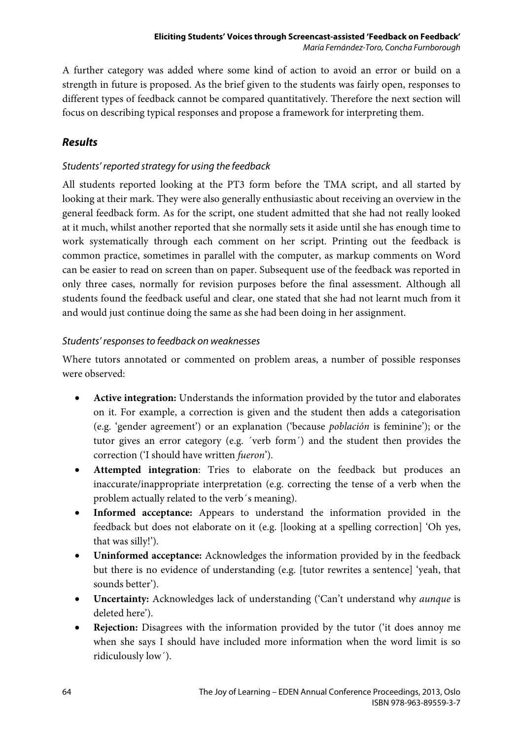A further category was added where some kind of action to avoid an error or build on a strength in future is proposed. As the brief given to the students was fairly open, responses to different types of feedback cannot be compared quantitatively. Therefore the next section will focus on describing typical responses and propose a framework for interpreting them.

## **Results**

### Students' reported strategy for using the feedback

All students reported looking at the PT3 form before the TMA script, and all started by looking at their mark. They were also generally enthusiastic about receiving an overview in the general feedback form. As for the script, one student admitted that she had not really looked at it much, whilst another reported that she normally sets it aside until she has enough time to work systematically through each comment on her script. Printing out the feedback is common practice, sometimes in parallel with the computer, as markup comments on Word can be easier to read on screen than on paper. Subsequent use of the feedback was reported in only three cases, normally for revision purposes before the final assessment. Although all students found the feedback useful and clear, one stated that she had not learnt much from it and would just continue doing the same as she had been doing in her assignment.

### Students' responses to feedback on weaknesses

Where tutors annotated or commented on problem areas, a number of possible responses were observed:

- **Active integration:** Understands the information provided by the tutor and elaborates on it. For example, a correction is given and the student then adds a categorisation (e.g. 'gender agreement') or an explanation ('because *población* is feminine'); or the tutor gives an error category (e.g. ´verb form´) and the student then provides the correction ('I should have written *fueron*').
- **Attempted integration**: Tries to elaborate on the feedback but produces an inaccurate/inappropriate interpretation (e.g. correcting the tense of a verb when the problem actually related to the verb´s meaning).
- **Informed acceptance:** Appears to understand the information provided in the feedback but does not elaborate on it (e.g. [looking at a spelling correction] 'Oh yes, that was silly!').
- **Uninformed acceptance:** Acknowledges the information provided by in the feedback but there is no evidence of understanding (e.g. [tutor rewrites a sentence] 'yeah, that sounds better').
- **Uncertainty:** Acknowledges lack of understanding ('Can't understand why *aunque* is deleted here').
- **Rejection:** Disagrees with the information provided by the tutor ('it does annoy me when she says I should have included more information when the word limit is so ridiculously low´).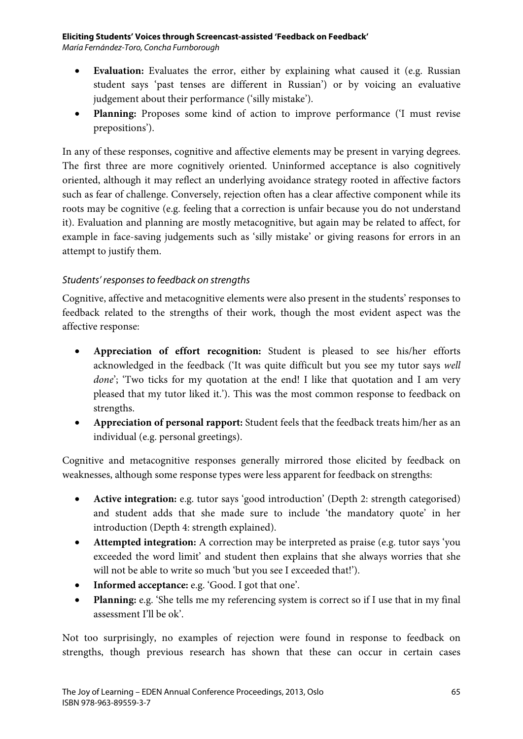#### **Eliciting Students' Voices through Screencast-assisted 'Feedback on Feedback'**

María Fernández-Toro, Concha Furnborough

- **Evaluation:** Evaluates the error, either by explaining what caused it (e.g. Russian student says 'past tenses are different in Russian') or by voicing an evaluative judgement about their performance ('silly mistake').
- **Planning:** Proposes some kind of action to improve performance ('I must revise prepositions').

In any of these responses, cognitive and affective elements may be present in varying degrees. The first three are more cognitively oriented. Uninformed acceptance is also cognitively oriented, although it may reflect an underlying avoidance strategy rooted in affective factors such as fear of challenge. Conversely, rejection often has a clear affective component while its roots may be cognitive (e.g. feeling that a correction is unfair because you do not understand it). Evaluation and planning are mostly metacognitive, but again may be related to affect, for example in face-saving judgements such as 'silly mistake' or giving reasons for errors in an attempt to justify them.

### Students' responses to feedback on strengths

Cognitive, affective and metacognitive elements were also present in the students' responses to feedback related to the strengths of their work, though the most evident aspect was the affective response:

- **Appreciation of effort recognition:** Student is pleased to see his/her efforts acknowledged in the feedback ('It was quite difficult but you see my tutor says *well done*'; 'Two ticks for my quotation at the end! I like that quotation and I am very pleased that my tutor liked it.'). This was the most common response to feedback on strengths.
- **Appreciation of personal rapport:** Student feels that the feedback treats him/her as an individual (e.g. personal greetings).

Cognitive and metacognitive responses generally mirrored those elicited by feedback on weaknesses, although some response types were less apparent for feedback on strengths:

- **Active integration:** e.g. tutor says 'good introduction' (Depth 2: strength categorised) and student adds that she made sure to include 'the mandatory quote' in her introduction (Depth 4: strength explained).
- **Attempted integration:** A correction may be interpreted as praise (e.g. tutor says 'you exceeded the word limit' and student then explains that she always worries that she will not be able to write so much 'but you see I exceeded that!').
- **Informed acceptance:** e.g. 'Good. I got that one'.
- **Planning:** e.g. 'She tells me my referencing system is correct so if I use that in my final assessment I'll be ok'.

Not too surprisingly, no examples of rejection were found in response to feedback on strengths, though previous research has shown that these can occur in certain cases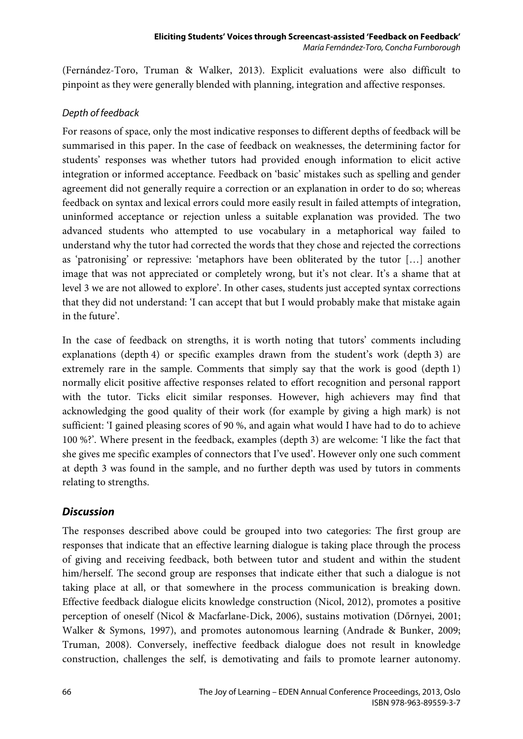(Fernández-Toro, Truman & Walker, 2013). Explicit evaluations were also difficult to pinpoint as they were generally blended with planning, integration and affective responses.

#### Depth of feedback

For reasons of space, only the most indicative responses to different depths of feedback will be summarised in this paper. In the case of feedback on weaknesses, the determining factor for students' responses was whether tutors had provided enough information to elicit active integration or informed acceptance. Feedback on 'basic' mistakes such as spelling and gender agreement did not generally require a correction or an explanation in order to do so; whereas feedback on syntax and lexical errors could more easily result in failed attempts of integration, uninformed acceptance or rejection unless a suitable explanation was provided. The two advanced students who attempted to use vocabulary in a metaphorical way failed to understand why the tutor had corrected the words that they chose and rejected the corrections as 'patronising' or repressive: 'metaphors have been obliterated by the tutor […] another image that was not appreciated or completely wrong, but it's not clear. It's a shame that at level 3 we are not allowed to explore'. In other cases, students just accepted syntax corrections that they did not understand: 'I can accept that but I would probably make that mistake again in the future'.

In the case of feedback on strengths, it is worth noting that tutors' comments including explanations (depth 4) or specific examples drawn from the student's work (depth 3) are extremely rare in the sample. Comments that simply say that the work is good (depth 1) normally elicit positive affective responses related to effort recognition and personal rapport with the tutor. Ticks elicit similar responses. However, high achievers may find that acknowledging the good quality of their work (for example by giving a high mark) is not sufficient: 'I gained pleasing scores of 90 %, and again what would I have had to do to achieve 100 %?'. Where present in the feedback, examples (depth 3) are welcome: 'I like the fact that she gives me specific examples of connectors that I've used'. However only one such comment at depth 3 was found in the sample, and no further depth was used by tutors in comments relating to strengths.

### **Discussion**

The responses described above could be grouped into two categories: The first group are responses that indicate that an effective learning dialogue is taking place through the process of giving and receiving feedback, both between tutor and student and within the student him/herself. The second group are responses that indicate either that such a dialogue is not taking place at all, or that somewhere in the process communication is breaking down. Effective feedback dialogue elicits knowledge construction (Nicol, 2012), promotes a positive perception of oneself (Nicol & Macfarlane-Dick, 2006), sustains motivation (Dőrnyei, 2001; Walker & Symons, 1997), and promotes autonomous learning (Andrade & Bunker, 2009; Truman, 2008). Conversely, ineffective feedback dialogue does not result in knowledge construction, challenges the self, is demotivating and fails to promote learner autonomy.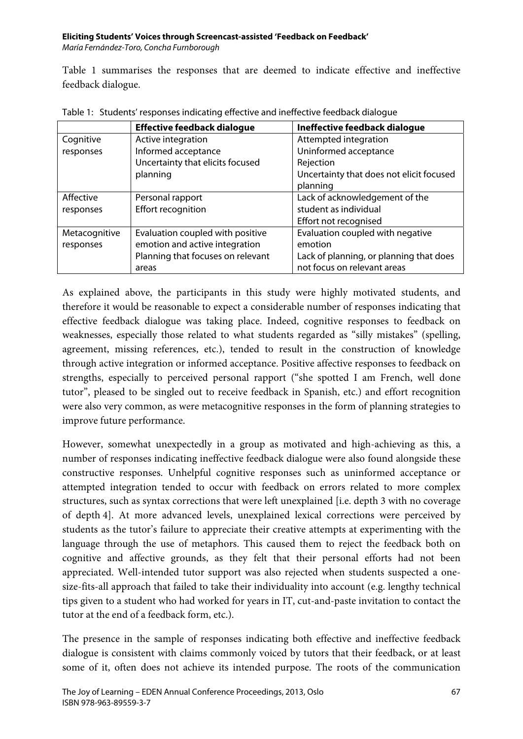#### **Eliciting Students' Voices through Screencast-assisted 'Feedback on Feedback'**

María Fernández-Toro, Concha Furnborough

Table 1 summarises the responses that are deemed to indicate effective and ineffective feedback dialogue.

|               | <b>Effective feedback dialogue</b> | Ineffective feedback dialogue            |
|---------------|------------------------------------|------------------------------------------|
| Cognitive     | Active integration                 | Attempted integration                    |
| responses     | Informed acceptance                | Uninformed acceptance                    |
|               | Uncertainty that elicits focused   | Rejection                                |
|               | planning                           | Uncertainty that does not elicit focused |
|               |                                    | planning                                 |
| Affective     | Personal rapport                   | Lack of acknowledgement of the           |
| responses     | Effort recognition                 | student as individual                    |
|               |                                    | Effort not recognised                    |
| Metacognitive | Evaluation coupled with positive   | Evaluation coupled with negative         |
| responses     | emotion and active integration     | emotion                                  |
|               | Planning that focuses on relevant  | Lack of planning, or planning that does  |
|               | areas                              | not focus on relevant areas              |

Table 1: Students' responses indicating effective and ineffective feedback dialogue

As explained above, the participants in this study were highly motivated students, and therefore it would be reasonable to expect a considerable number of responses indicating that effective feedback dialogue was taking place. Indeed, cognitive responses to feedback on weaknesses, especially those related to what students regarded as "silly mistakes" (spelling, agreement, missing references, etc.), tended to result in the construction of knowledge through active integration or informed acceptance. Positive affective responses to feedback on strengths, especially to perceived personal rapport ("she spotted I am French, well done tutor", pleased to be singled out to receive feedback in Spanish, etc.) and effort recognition were also very common, as were metacognitive responses in the form of planning strategies to improve future performance.

However, somewhat unexpectedly in a group as motivated and high-achieving as this, a number of responses indicating ineffective feedback dialogue were also found alongside these constructive responses. Unhelpful cognitive responses such as uninformed acceptance or attempted integration tended to occur with feedback on errors related to more complex structures, such as syntax corrections that were left unexplained [i.e. depth 3 with no coverage of depth 4]. At more advanced levels, unexplained lexical corrections were perceived by students as the tutor's failure to appreciate their creative attempts at experimenting with the language through the use of metaphors. This caused them to reject the feedback both on cognitive and affective grounds, as they felt that their personal efforts had not been appreciated. Well-intended tutor support was also rejected when students suspected a onesize-fits-all approach that failed to take their individuality into account (e.g. lengthy technical tips given to a student who had worked for years in IT, cut-and-paste invitation to contact the tutor at the end of a feedback form, etc.).

The presence in the sample of responses indicating both effective and ineffective feedback dialogue is consistent with claims commonly voiced by tutors that their feedback, or at least some of it, often does not achieve its intended purpose. The roots of the communication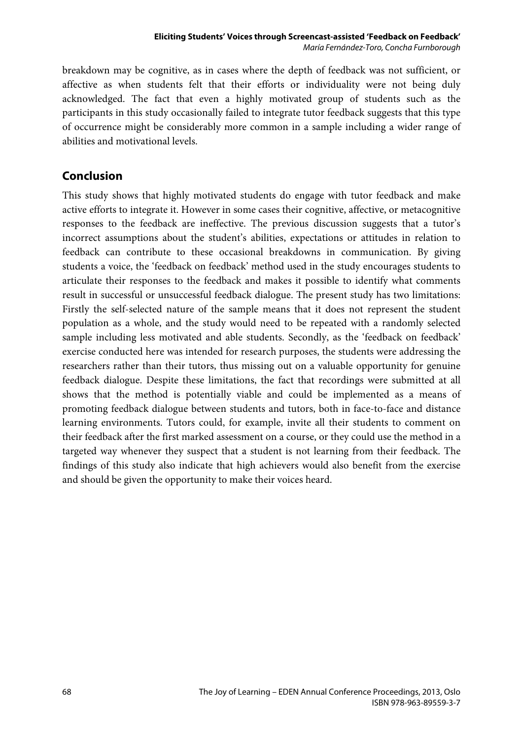breakdown may be cognitive, as in cases where the depth of feedback was not sufficient, or affective as when students felt that their efforts or individuality were not being duly acknowledged. The fact that even a highly motivated group of students such as the participants in this study occasionally failed to integrate tutor feedback suggests that this type of occurrence might be considerably more common in a sample including a wider range of abilities and motivational levels.

## **Conclusion**

This study shows that highly motivated students do engage with tutor feedback and make active efforts to integrate it. However in some cases their cognitive, affective, or metacognitive responses to the feedback are ineffective. The previous discussion suggests that a tutor's incorrect assumptions about the student's abilities, expectations or attitudes in relation to feedback can contribute to these occasional breakdowns in communication. By giving students a voice, the 'feedback on feedback' method used in the study encourages students to articulate their responses to the feedback and makes it possible to identify what comments result in successful or unsuccessful feedback dialogue. The present study has two limitations: Firstly the self-selected nature of the sample means that it does not represent the student population as a whole, and the study would need to be repeated with a randomly selected sample including less motivated and able students. Secondly, as the 'feedback on feedback' exercise conducted here was intended for research purposes, the students were addressing the researchers rather than their tutors, thus missing out on a valuable opportunity for genuine feedback dialogue. Despite these limitations, the fact that recordings were submitted at all shows that the method is potentially viable and could be implemented as a means of promoting feedback dialogue between students and tutors, both in face-to-face and distance learning environments. Tutors could, for example, invite all their students to comment on their feedback after the first marked assessment on a course, or they could use the method in a targeted way whenever they suspect that a student is not learning from their feedback. The findings of this study also indicate that high achievers would also benefit from the exercise and should be given the opportunity to make their voices heard.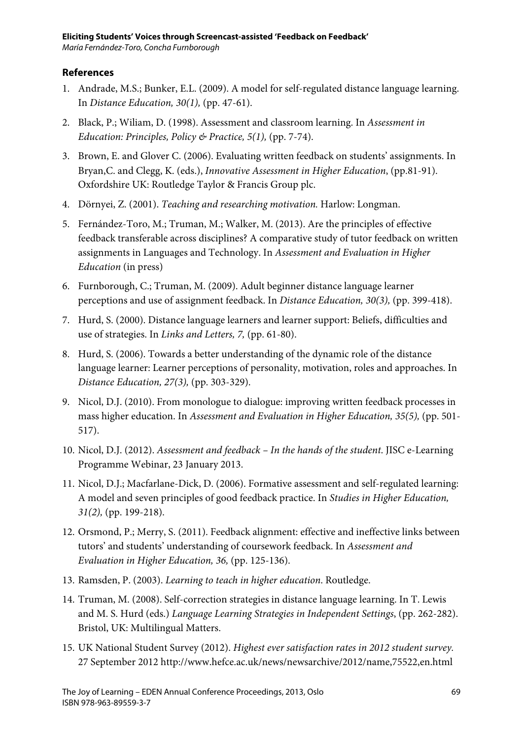#### **References**

- 1. Andrade, M.S.; Bunker, E.L. (2009). A model for self-regulated distance language learning. In *Distance Education, 30(1),* (pp. 47-61).
- 2. Black, P.; Wiliam, D. (1998). Assessment and classroom learning. In *Assessment in Education: Principles, Policy & Practice, 5(1),* (pp. 7-74).
- 3. Brown, E. and Glover C. (2006). Evaluating written feedback on students' assignments. In Bryan,C. and Clegg, K. (eds.), *Innovative Assessment in Higher Education*, (pp.81-91). Oxfordshire UK: Routledge Taylor & Francis Group plc.
- 4. Dörnyei, Z. (2001). *Teaching and researching motivation.* Harlow: Longman.
- 5. Fernández-Toro, M.; Truman, M.; Walker, M. (2013). Are the principles of effective feedback transferable across disciplines? A comparative study of tutor feedback on written assignments in Languages and Technology. In *Assessment and Evaluation in Higher Education* (in press)
- 6. Furnborough, C.; Truman, M. (2009). Adult beginner distance language learner perceptions and use of assignment feedback. In *Distance Education, 30(3),* (pp. 399-418).
- 7. Hurd, S. (2000). Distance language learners and learner support: Beliefs, difficulties and use of strategies. In *Links and Letters, 7,* (pp. 61-80).
- 8. Hurd, S. (2006). Towards a better understanding of the dynamic role of the distance language learner: Learner perceptions of personality, motivation, roles and approaches. In *Distance Education, 27(3),* (pp. 303-329).
- 9. Nicol, D.J. (2010). From monologue to dialogue: improving written feedback processes in mass higher education. In *Assessment and Evaluation in Higher Education, 35(5),* (pp. 501- 517).
- 10. Nicol, D.J. (2012). *Assessment and feedback In the hands of the student*. JISC e-Learning Programme Webinar, 23 January 2013.
- 11. Nicol, D.J.; Macfarlane-Dick, D. (2006). Formative assessment and self-regulated learning: A model and seven principles of good feedback practice. In *Studies in Higher Education, 31(2),* (pp. 199-218).
- 12. Orsmond, P.; Merry, S. (2011). Feedback alignment: effective and ineffective links between tutors' and students' understanding of coursework feedback. In *Assessment and Evaluation in Higher Education, 36,* (pp. 125-136).
- 13. Ramsden, P. (2003). *Learning to teach in higher education*. Routledge.
- 14. Truman, M. (2008). Self-correction strategies in distance language learning. In T. Lewis and M. S. Hurd (eds.) *Language Learning Strategies in Independent Settings*, (pp. 262-282). Bristol, UK: Multilingual Matters.
- 15. UK National Student Survey (2012). *Highest ever satisfaction rates in 2012 student survey.* 27 September 2012 http://www.hefce.ac.uk/news/newsarchive/2012/name,75522,en.html